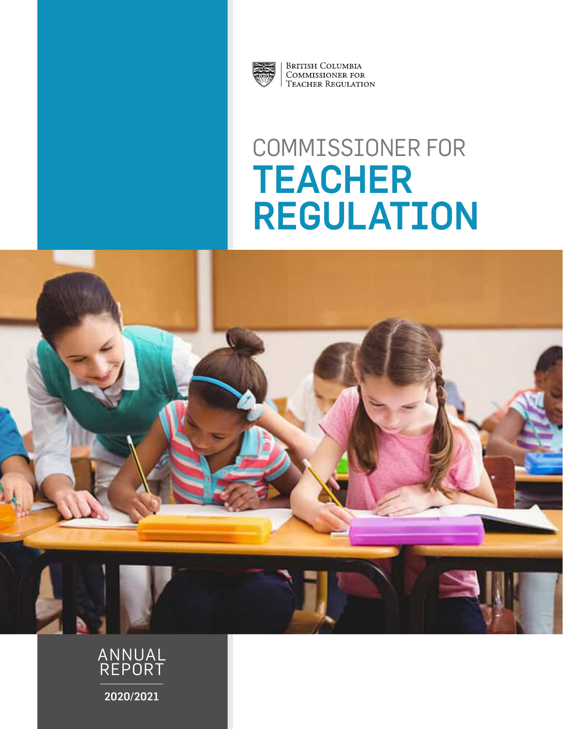

**BRITISH COLUMBIA** COMMISSIONER FOR **TEACHER REGULATION** 

# COMMISSIONER FOR TEACHER REGULATION



REPORT

2020/2021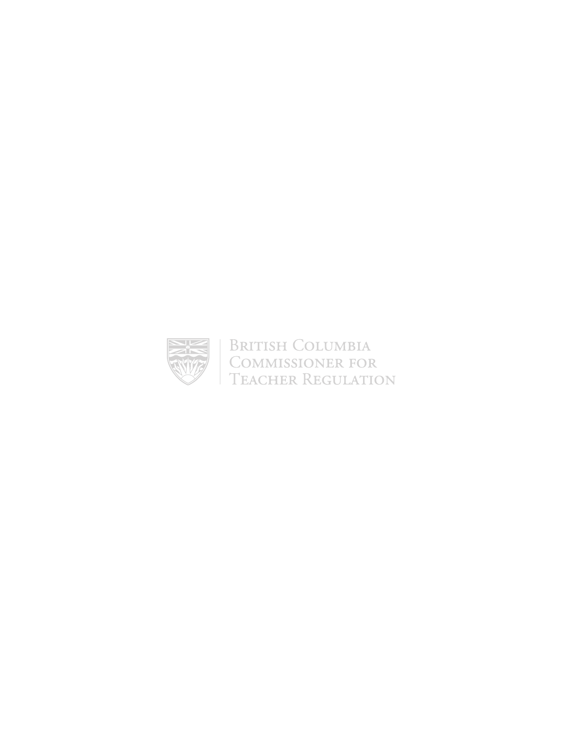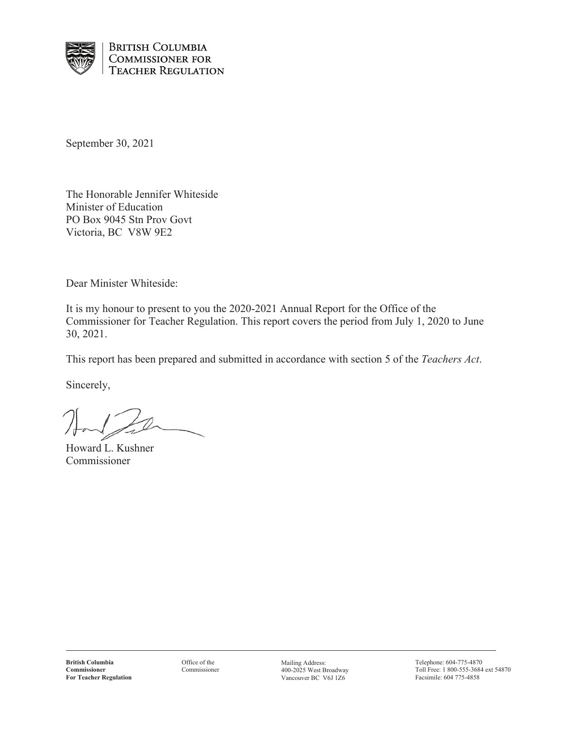

**BRITISH COLUMBIA COMMISSIONER FOR TEACHER REGULATION** 

September 30, 2021

The Honorable Jennifer Whiteside Minister of Education PO Box 9045 Stn Prov Govt Victoria, BC V8W 9E2

Dear Minister Whiteside:

It is my honour to present to you the 2020-2021 Annual Report for the Office of the Commissioner for Teacher Regulation. This report covers the period from July 1, 2020 to June 30, 2021.

This report has been prepared and submitted in accordance with section 5 of the *Teachers Act*.

Sincerely,

Howard L. Kushner Commissioner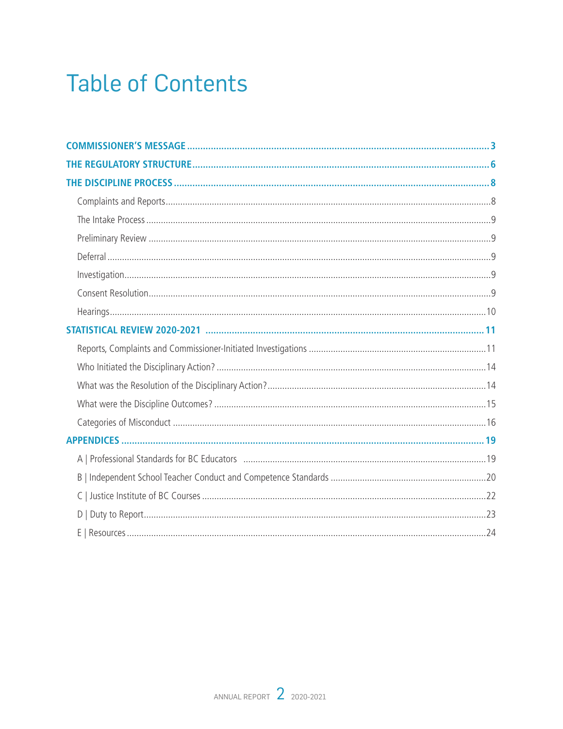## **Table of Contents**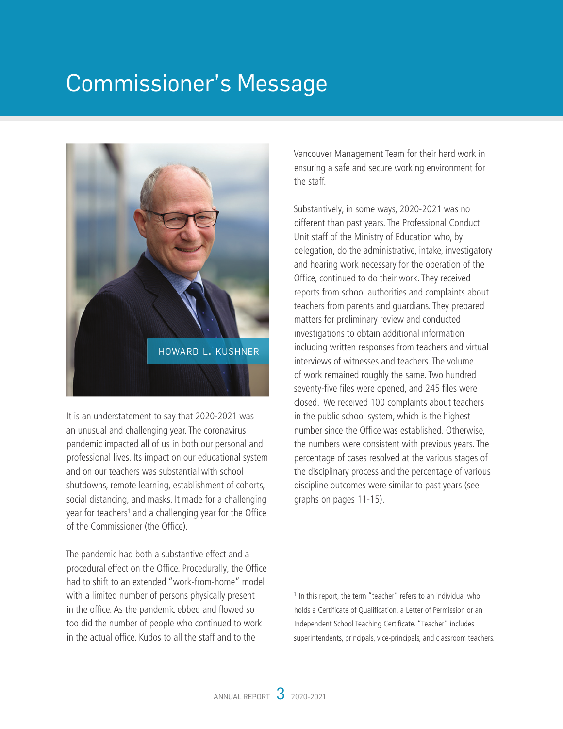## <span id="page-4-0"></span>Commissioner's Message



It is an understatement to say that 2020-2021 was an unusual and challenging year. The coronavirus pandemic impacted all of us in both our personal and professional lives. Its impact on our educational system and on our teachers was substantial with school shutdowns, remote learning, establishment of cohorts, social distancing, and masks. It made for a challenging year for teachers<sup>1</sup> and a challenging year for the Office of the Commissioner (the Office).

The pandemic had both a substantive effect and a procedural effect on the Office. Procedurally, the Office had to shift to an extended "work-from-home" model with a limited number of persons physically present in the office. As the pandemic ebbed and flowed so too did the number of people who continued to work in the actual office. Kudos to all the staff and to the

Vancouver Management Team for their hard work in ensuring a safe and secure working environment for the staff.

Substantively, in some ways, 2020-2021 was no different than past years. The Professional Conduct Unit staff of the Ministry of Education who, by delegation, do the administrative, intake, investigatory and hearing work necessary for the operation of the Office, continued to do their work. They received reports from school authorities and complaints about teachers from parents and guardians. They prepared matters for preliminary review and conducted investigations to obtain additional information including written responses from teachers and virtual interviews of witnesses and teachers. The volume of work remained roughly the same. Two hundred seventy-five files were opened, and 245 files were closed. We received 100 complaints about teachers in the public school system, which is the highest number since the Office was established. Otherwise, the numbers were consistent with previous years. The percentage of cases resolved at the various stages of the disciplinary process and the percentage of various discipline outcomes were similar to past years (see graphs on pages 11-15).

<sup>1</sup> In this report, the term "teacher" refers to an individual who holds a Certificate of Qualification, a Letter of Permission or an Independent School Teaching Certificate. "Teacher" includes superintendents, principals, vice-principals, and classroom teachers.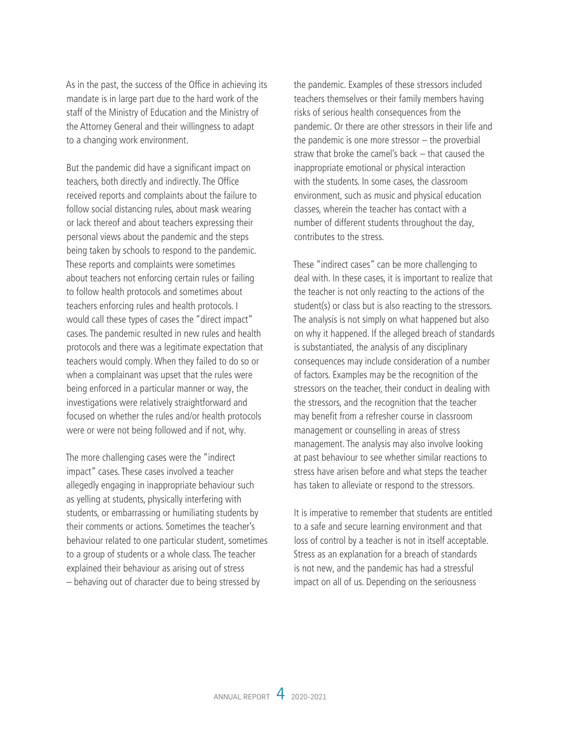As in the past, the success of the Office in achieving its mandate is in large part due to the hard work of the staff of the Ministry of Education and the Ministry of the Attorney General and their willingness to adapt to a changing work environment.

But the pandemic did have a significant impact on teachers, both directly and indirectly. The Office received reports and complaints about the failure to follow social distancing rules, about mask wearing or lack thereof and about teachers expressing their personal views about the pandemic and the steps being taken by schools to respond to the pandemic. These reports and complaints were sometimes about teachers not enforcing certain rules or failing to follow health protocols and sometimes about teachers enforcing rules and health protocols. I would call these types of cases the "direct impact" cases. The pandemic resulted in new rules and health protocols and there was a legitimate expectation that teachers would comply. When they failed to do so or when a complainant was upset that the rules were being enforced in a particular manner or way, the investigations were relatively straightforward and focused on whether the rules and/or health protocols were or were not being followed and if not, why.

The more challenging cases were the "indirect impact" cases. These cases involved a teacher allegedly engaging in inappropriate behaviour such as yelling at students, physically interfering with students, or embarrassing or humiliating students by their comments or actions. Sometimes the teacher's behaviour related to one particular student, sometimes to a group of students or a whole class. The teacher explained their behaviour as arising out of stress – behaving out of character due to being stressed by

the pandemic. Examples of these stressors included teachers themselves or their family members having risks of serious health consequences from the pandemic. Or there are other stressors in their life and the pandemic is one more stressor – the proverbial straw that broke the camel's back – that caused the inappropriate emotional or physical interaction with the students. In some cases, the classroom environment, such as music and physical education classes, wherein the teacher has contact with a number of different students throughout the day, contributes to the stress.

These "indirect cases" can be more challenging to deal with. In these cases, it is important to realize that the teacher is not only reacting to the actions of the student(s) or class but is also reacting to the stressors. The analysis is not simply on what happened but also on why it happened. If the alleged breach of standards is substantiated, the analysis of any disciplinary consequences may include consideration of a number of factors. Examples may be the recognition of the stressors on the teacher, their conduct in dealing with the stressors, and the recognition that the teacher may benefit from a refresher course in classroom management or counselling in areas of stress management. The analysis may also involve looking at past behaviour to see whether similar reactions to stress have arisen before and what steps the teacher has taken to alleviate or respond to the stressors.

It is imperative to remember that students are entitled to a safe and secure learning environment and that loss of control by a teacher is not in itself acceptable. Stress as an explanation for a breach of standards is not new, and the pandemic has had a stressful impact on all of us. Depending on the seriousness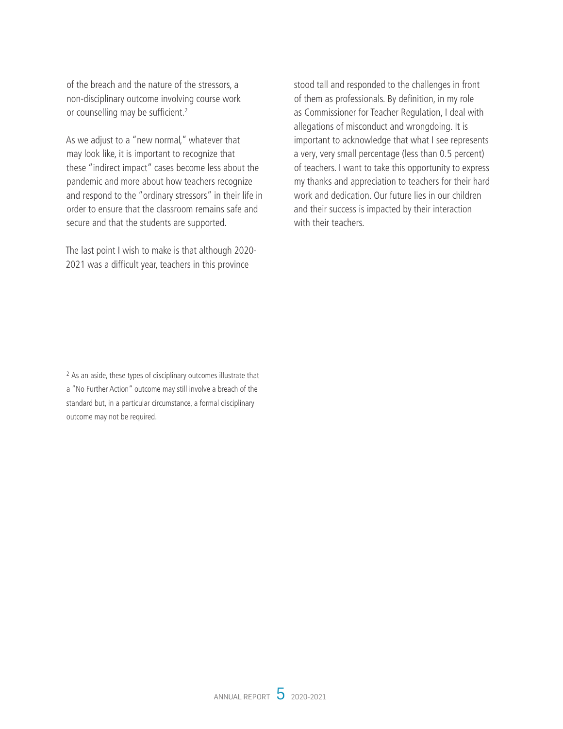of the breach and the nature of the stressors, a non-disciplinary outcome involving course work or counselling may be sufficient.<sup>2</sup>

As we adjust to a "new normal," whatever that may look like, it is important to recognize that these "indirect impact" cases become less about the pandemic and more about how teachers recognize and respond to the "ordinary stressors" in their life in order to ensure that the classroom remains safe and secure and that the students are supported.

The last point I wish to make is that although 2020- 2021 was a difficult year, teachers in this province

stood tall and responded to the challenges in front of them as professionals. By definition, in my role as Commissioner for Teacher Regulation, I deal with allegations of misconduct and wrongdoing. It is important to acknowledge that what I see represents a very, very small percentage (less than 0.5 percent) of teachers. I want to take this opportunity to express my thanks and appreciation to teachers for their hard work and dedication. Our future lies in our children and their success is impacted by their interaction with their teachers.

<sup>2</sup> As an aside, these types of disciplinary outcomes illustrate that a "No Further Action" outcome may still involve a breach of the standard but, in a particular circumstance, a formal disciplinary outcome may not be required.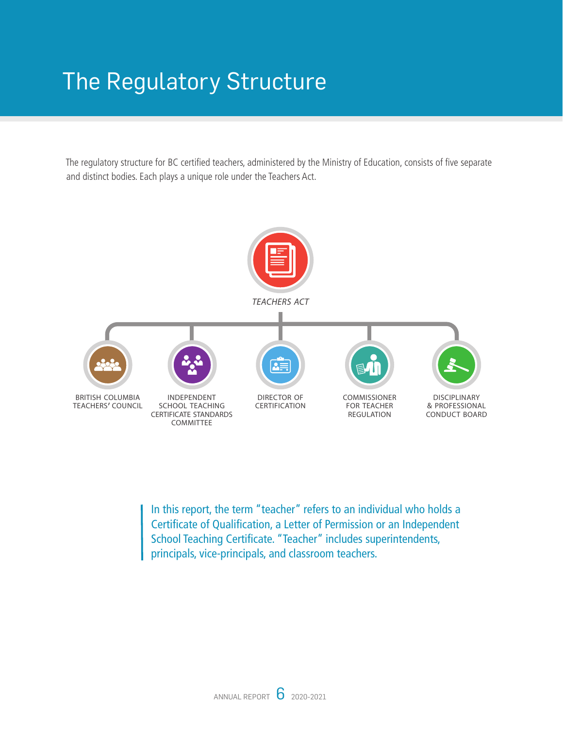## <span id="page-7-0"></span>The Regulatory Structure

The regulatory structure for BC certified teachers, administered by the Ministry of Education, consists of five separate and distinct bodies. Each plays a unique role under the Teachers Act.



In this report, the term "teacher" refers to an individual who holds a Certificate of Qualification, a Letter of Permission or an Independent School Teaching Certificate. "Teacher" includes superintendents, principals, vice-principals, and classroom teachers.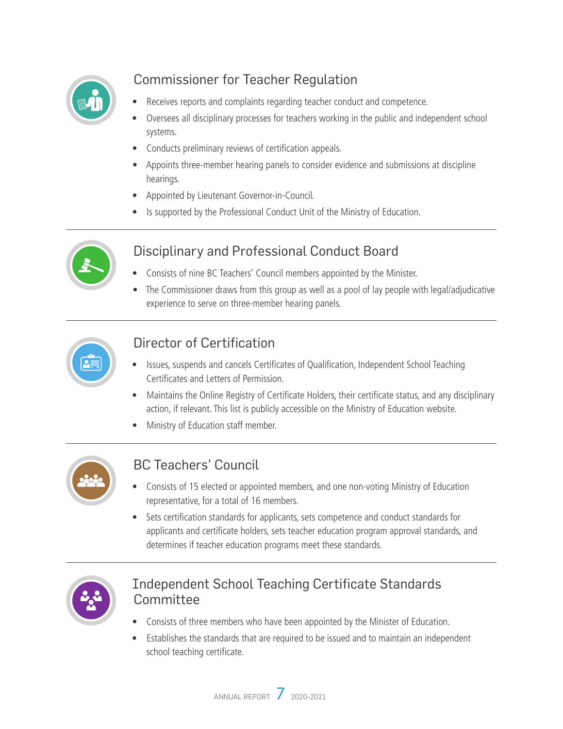

## Commissioner for Teacher Regulation

- Receives reports and complaints regarding teacher conduct and competence.
- Oversees all disciplinary processes for teachers working in the public and independent school systems.
- Conducts preliminary reviews of certification appeals.
- Appoints three-member hearing panels to consider evidence and submissions at discipline hearings.
- Appointed by Lieutenant Governor-in-Council.
- Is supported by the Professional Conduct Unit of the Ministry of Education.



## Disciplinary and Professional Conduct Board

- Consists of nine BC Teachers' Council members appointed by the Minister.
- The Commissioner draws from this group as well as a pool of lay people with legal/adjudicative experience to serve on three-member hearing panels.



## Director of Certification

- Issues, suspends and cancels Certificates of Qualification, Independent School Teaching Certificates and Letters of Permission.
- Maintains the Online Registry of Certificate Holders, their certificate status, and any disciplinary action, if relevant. This list is publicly accessible on the Ministry of Education website.
- Ministry of Education staff member.



## BC Teachers' Council

- Consists of 15 elected or appointed members, and one non-voting Ministry of Education representative, for a total of 16 members.
- Sets certification standards for applicants, sets competence and conduct standards for applicants and certificate holders, sets teacher education program approval standards, and determines if teacher education programs meet these standards.



## Independent School Teaching Certificate Standards Committee

- Consists of three members who have been appointed by the Minister of Education.
- Establishes the standards that are required to be issued and to maintain an independent school teaching certificate.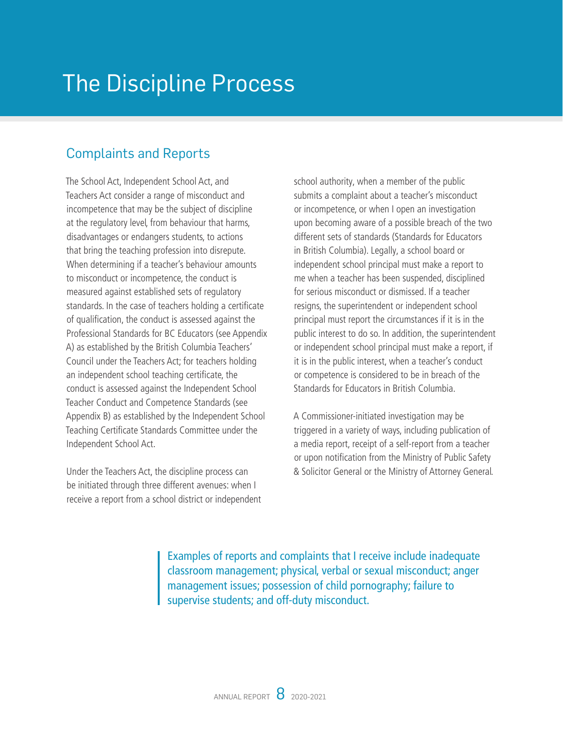## <span id="page-9-0"></span>The Discipline Process

## Complaints and Reports

The School Act, Independent School Act, and Teachers Act consider a range of misconduct and incompetence that may be the subject of discipline at the regulatory level, from behaviour that harms, disadvantages or endangers students, to actions that bring the teaching profession into disrepute. When determining if a teacher's behaviour amounts to misconduct or incompetence, the conduct is measured against established sets of regulatory standards. In the case of teachers holding a certificate of qualification, the conduct is assessed against the Professional Standards for BC Educators (see Appendix A) as established by the British Columbia Teachers' Council under the Teachers Act; for teachers holding an independent school teaching certificate, the conduct is assessed against the Independent School Teacher Conduct and Competence Standards (see Appendix B) as established by the Independent School Teaching Certificate Standards Committee under the Independent School Act.

Under the Teachers Act, the discipline process can be initiated through three different avenues: when I receive a report from a school district or independent

school authority, when a member of the public submits a complaint about a teacher's misconduct or incompetence, or when I open an investigation upon becoming aware of a possible breach of the two different sets of standards (Standards for Educators in British Columbia). Legally, a school board or independent school principal must make a report to me when a teacher has been suspended, disciplined for serious misconduct or dismissed. If a teacher resigns, the superintendent or independent school principal must report the circumstances if it is in the public interest to do so. In addition, the superintendent or independent school principal must make a report, if it is in the public interest, when a teacher's conduct or competence is considered to be in breach of the Standards for Educators in British Columbia.

A Commissioner-initiated investigation may be triggered in a variety of ways, including publication of a media report, receipt of a self-report from a teacher or upon notification from the Ministry of Public Safety & Solicitor General or the Ministry of Attorney General.

Examples of reports and complaints that I receive include inadequate classroom management; physical, verbal or sexual misconduct; anger management issues; possession of child pornography; failure to supervise students; and off-duty misconduct.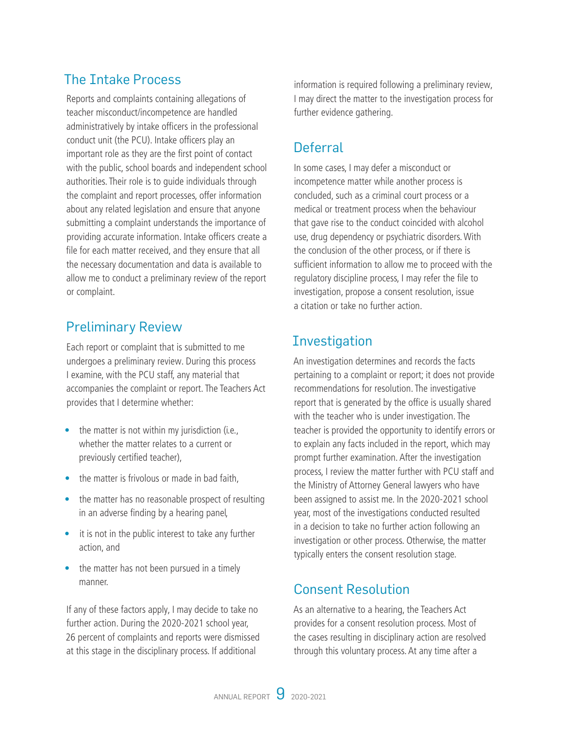## <span id="page-10-0"></span>The Intake Process

Reports and complaints containing allegations of teacher misconduct/incompetence are handled administratively by intake officers in the professional conduct unit (the PCU). Intake officers play an important role as they are the first point of contact with the public, school boards and independent school authorities. Their role is to guide individuals through the complaint and report processes, offer information about any related legislation and ensure that anyone submitting a complaint understands the importance of providing accurate information. Intake officers create a file for each matter received, and they ensure that all the necessary documentation and data is available to allow me to conduct a preliminary review of the report or complaint.

## Preliminary Review

Each report or complaint that is submitted to me undergoes a preliminary review. During this process I examine, with the PCU staff, any material that accompanies the complaint or report. The Teachers Act provides that I determine whether:

- the matter is not within my jurisdiction (i.e., whether the matter relates to a current or previously certified teacher),
- the matter is frivolous or made in bad faith,
- the matter has no reasonable prospect of resulting in an adverse finding by a hearing panel,
- it is not in the public interest to take any further action, and
- the matter has not been pursued in a timely manner.

If any of these factors apply, I may decide to take no further action. During the 2020-2021 school year, 26 percent of complaints and reports were dismissed at this stage in the disciplinary process. If additional

information is required following a preliminary review, I may direct the matter to the investigation process for further evidence gathering.

## Deferral

In some cases, I may defer a misconduct or incompetence matter while another process is concluded, such as a criminal court process or a medical or treatment process when the behaviour that gave rise to the conduct coincided with alcohol use, drug dependency or psychiatric disorders. With the conclusion of the other process, or if there is sufficient information to allow me to proceed with the regulatory discipline process, I may refer the file to investigation, propose a consent resolution, issue a citation or take no further action.

## **Investigation**

An investigation determines and records the facts pertaining to a complaint or report; it does not provide recommendations for resolution. The investigative report that is generated by the office is usually shared with the teacher who is under investigation. The teacher is provided the opportunity to identify errors or to explain any facts included in the report, which may prompt further examination. After the investigation process, I review the matter further with PCU staff and the Ministry of Attorney General lawyers who have been assigned to assist me. In the 2020-2021 school year, most of the investigations conducted resulted in a decision to take no further action following an investigation or other process. Otherwise, the matter typically enters the consent resolution stage.

## Consent Resolution

As an alternative to a hearing, the Teachers Act provides for a consent resolution process. Most of the cases resulting in disciplinary action are resolved through this voluntary process. At any time after a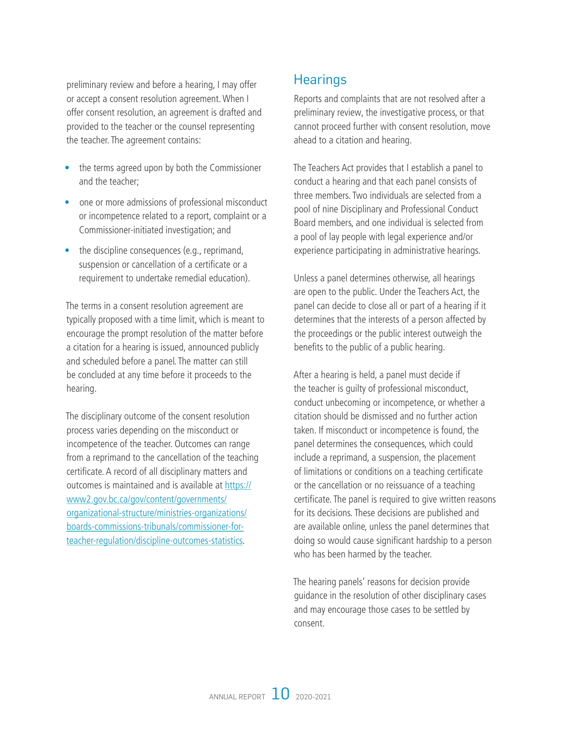<span id="page-11-0"></span>preliminary review and before a hearing, I may offer or accept a consent resolution agreement. When I offer consent resolution, an agreement is drafted and provided to the teacher or the counsel representing the teacher. The agreement contains:

- the terms agreed upon by both the Commissioner and the teacher;
- one or more admissions of professional misconduct or incompetence related to a report, complaint or a Commissioner-initiated investigation; and
- the discipline consequences (e.g., reprimand, suspension or cancellation of a certificate or a requirement to undertake remedial education).

The terms in a consent resolution agreement are typically proposed with a time limit, which is meant to encourage the prompt resolution of the matter before a citation for a hearing is issued, announced publicly and scheduled before a panel. The matter can still be concluded at any time before it proceeds to the hearing.

The disciplinary outcome of the consent resolution process varies depending on the misconduct or incompetence of the teacher. Outcomes can range from a reprimand to the cancellation of the teaching certificate. A record of all disciplinary matters and outcomes is maintained and is available at [https://](https://www2.gov.bc.ca/gov/content/governments/organizational-structure/ministries-organizations/boards-commissions-tribunals/commissioner-for-teacher-regulation/discipline-outcomes-statistics) [www2.gov.bc.ca/gov/content/governments/](https://www2.gov.bc.ca/gov/content/governments/organizational-structure/ministries-organizations/boards-commissions-tribunals/commissioner-for-teacher-regulation/discipline-outcomes-statistics) [organizational-structure/ministries-organizations/](https://www2.gov.bc.ca/gov/content/governments/organizational-structure/ministries-organizations/boards-commissions-tribunals/commissioner-for-teacher-regulation/discipline-outcomes-statistics) [boards-commissions-tribunals/commissioner-for](https://www2.gov.bc.ca/gov/content/governments/organizational-structure/ministries-organizations/boards-commissions-tribunals/commissioner-for-teacher-regulation/discipline-outcomes-statistics)[teacher-regulation/discipline-outcomes-statistics.](https://www2.gov.bc.ca/gov/content/governments/organizational-structure/ministries-organizations/boards-commissions-tribunals/commissioner-for-teacher-regulation/discipline-outcomes-statistics)

## **Hearings**

Reports and complaints that are not resolved after a preliminary review, the investigative process, or that cannot proceed further with consent resolution, move ahead to a citation and hearing.

The Teachers Act provides that I establish a panel to conduct a hearing and that each panel consists of three members. Two individuals are selected from a pool of nine Disciplinary and Professional Conduct Board members, and one individual is selected from a pool of lay people with legal experience and/or experience participating in administrative hearings.

Unless a panel determines otherwise, all hearings are open to the public. Under the Teachers Act, the panel can decide to close all or part of a hearing if it determines that the interests of a person affected by the proceedings or the public interest outweigh the benefits to the public of a public hearing.

After a hearing is held, a panel must decide if the teacher is guilty of professional misconduct, conduct unbecoming or incompetence, or whether a citation should be dismissed and no further action taken. If misconduct or incompetence is found, the panel determines the consequences, which could include a reprimand, a suspension, the placement of limitations or conditions on a teaching certificate or the cancellation or no reissuance of a teaching certificate. The panel is required to give written reasons for its decisions. These decisions are published and are available online, unless the panel determines that doing so would cause significant hardship to a person who has been harmed by the teacher.

The hearing panels' reasons for decision provide guidance in the resolution of other disciplinary cases and may encourage those cases to be settled by consent.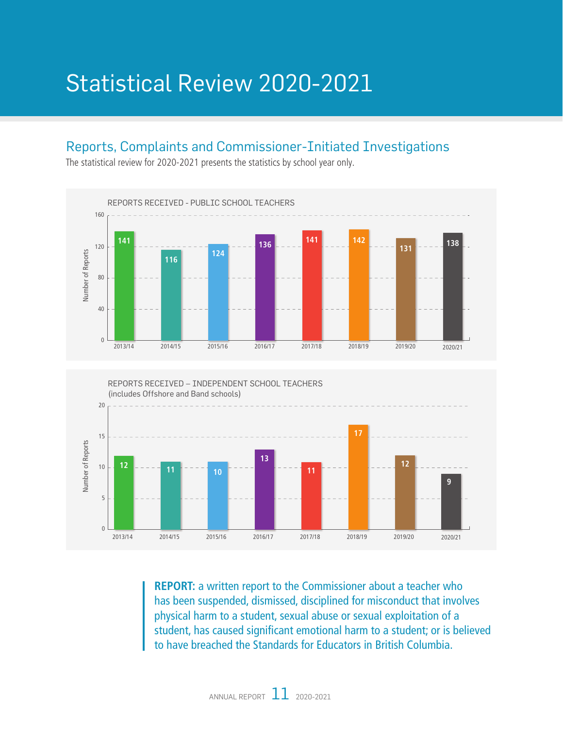## <span id="page-12-0"></span>Statistical Review 2020-2021

### Reports, Complaints and Commissioner-Initiated Investigations

REPORTS RECEIVED - PUBLIC SCHOOL TEACHERS 160 **141 <sup>136</sup> <sup>141</sup> <sup>142</sup> <sup>131</sup> <sup>138</sup>** 120 Number of Reports **124** Number of Reports **116** 80 40  $\boldsymbol{0}$ 2013/14 2014/15 2015/16 2016/17 2017/18 2018/19 2019/20 2020/21

The statistical review for 2020-2021 presents the statistics by school year only.



**REPORT:** a written report to the Commissioner about a teacher who has been suspended, dismissed, disciplined for misconduct that involves physical harm to a student, sexual abuse or sexual exploitation of a student, has caused significant emotional harm to a student; or is believed to have breached the Standards for Educators in British Columbia.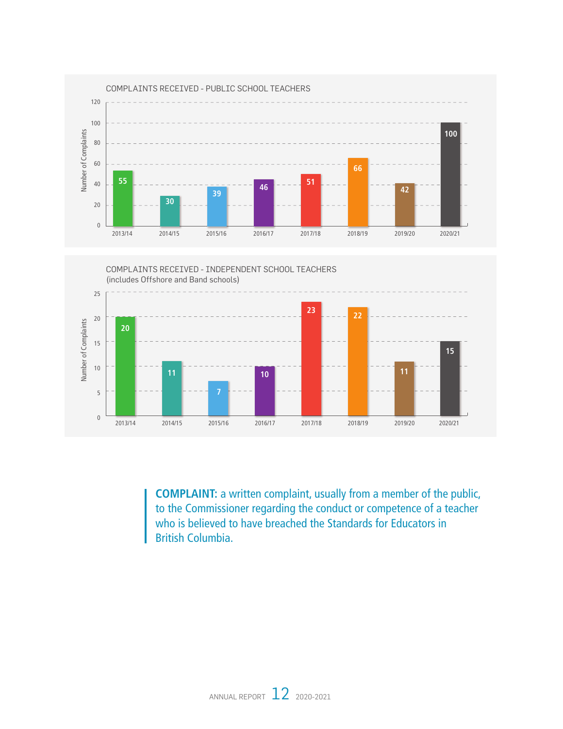



**COMPLAINT:** a written complaint, usually from a member of the public, to the Commissioner regarding the conduct or competence of a teacher who is believed to have breached the Standards for Educators in British Columbia.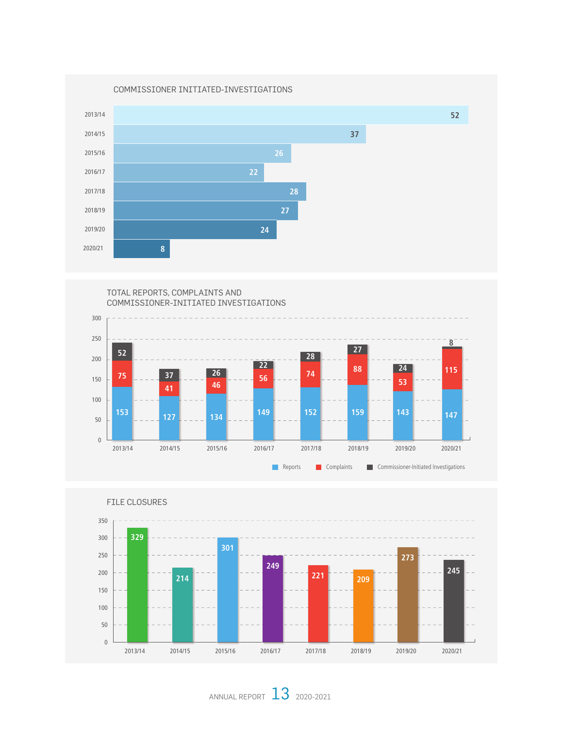



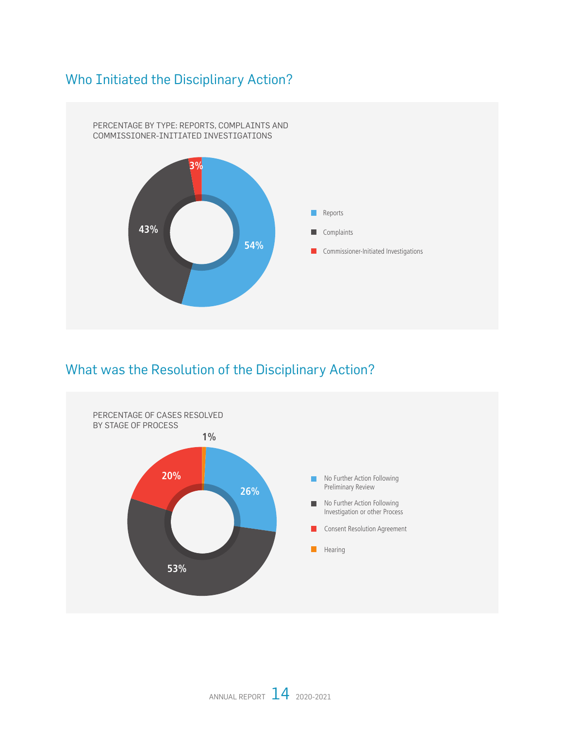## <span id="page-15-0"></span>Who Initiated the Disciplinary Action?



## What was the Resolution of the Disciplinary Action?

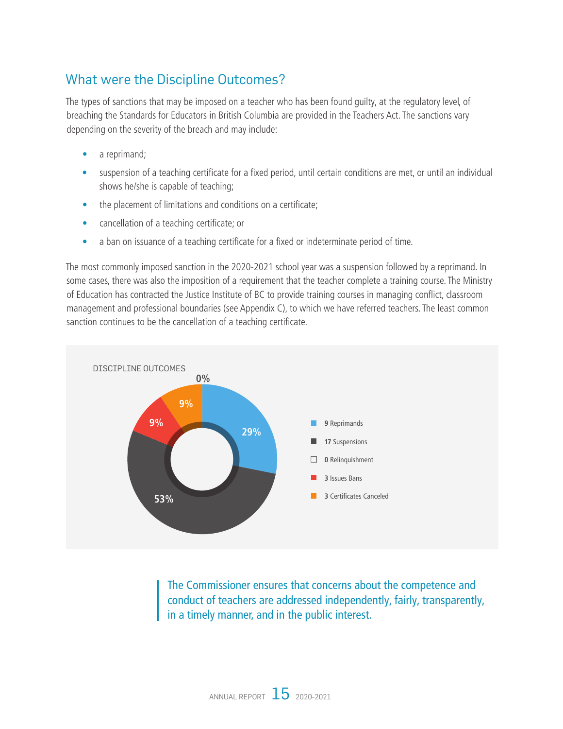## <span id="page-16-0"></span>What were the Discipline Outcomes?

The types of sanctions that may be imposed on a teacher who has been found guilty, at the regulatory level, of breaching the Standards for Educators in British Columbia are provided in the Teachers Act. The sanctions vary depending on the severity of the breach and may include:

- a reprimand;
- suspension of a teaching certificate for a fixed period, until certain conditions are met, or until an individual shows he/she is capable of teaching;
- the placement of limitations and conditions on a certificate;
- cancellation of a teaching certificate; or
- a ban on issuance of a teaching certificate for a fixed or indeterminate period of time.

The most commonly imposed sanction in the 2020-2021 school year was a suspension followed by a reprimand. In some cases, there was also the imposition of a requirement that the teacher complete a training course. The Ministry of Education has contracted the Justice Institute of BC to provide training courses in managing conflict, classroom management and professional boundaries (see Appendix C), to which we have referred teachers. The least common sanction continues to be the cancellation of a teaching certificate.



The Commissioner ensures that concerns about the competence and conduct of teachers are addressed independently, fairly, transparently, in a timely manner, and in the public interest.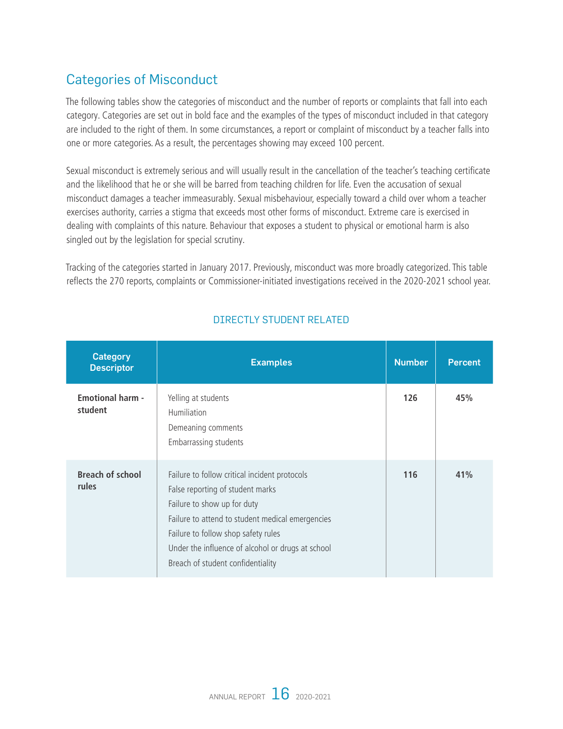## <span id="page-17-0"></span>Categories of Misconduct

The following tables show the categories of misconduct and the number of reports or complaints that fall into each category. Categories are set out in bold face and the examples of the types of misconduct included in that category are included to the right of them. In some circumstances, a report or complaint of misconduct by a teacher falls into one or more categories. As a result, the percentages showing may exceed 100 percent.

Sexual misconduct is extremely serious and will usually result in the cancellation of the teacher's teaching certificate and the likelihood that he or she will be barred from teaching children for life. Even the accusation of sexual misconduct damages a teacher immeasurably. Sexual misbehaviour, especially toward a child over whom a teacher exercises authority, carries a stigma that exceeds most other forms of misconduct. Extreme care is exercised in dealing with complaints of this nature. Behaviour that exposes a student to physical or emotional harm is also singled out by the legislation for special scrutiny.

Tracking of the categories started in January 2017. Previously, misconduct was more broadly categorized. This table reflects the 270 reports, complaints or Commissioner-initiated investigations received in the 2020-2021 school year.

| <b>Category</b><br><b>Descriptor</b> | <b>Examples</b>                                                                                                                                                                                                                                                                                       | <b>Number</b> | <b>Percent</b> |
|--------------------------------------|-------------------------------------------------------------------------------------------------------------------------------------------------------------------------------------------------------------------------------------------------------------------------------------------------------|---------------|----------------|
| <b>Emotional harm -</b><br>student   | Yelling at students<br><b>Humiliation</b><br>Demeaning comments<br>Embarrassing students                                                                                                                                                                                                              | 126           | 45%            |
| <b>Breach of school</b><br>rules     | Failure to follow critical incident protocols<br>False reporting of student marks<br>Failure to show up for duty<br>Failure to attend to student medical emergencies<br>Failure to follow shop safety rules<br>Under the influence of alcohol or drugs at school<br>Breach of student confidentiality | 116           | 41%            |

### DIRECTLY STUDENT RELATED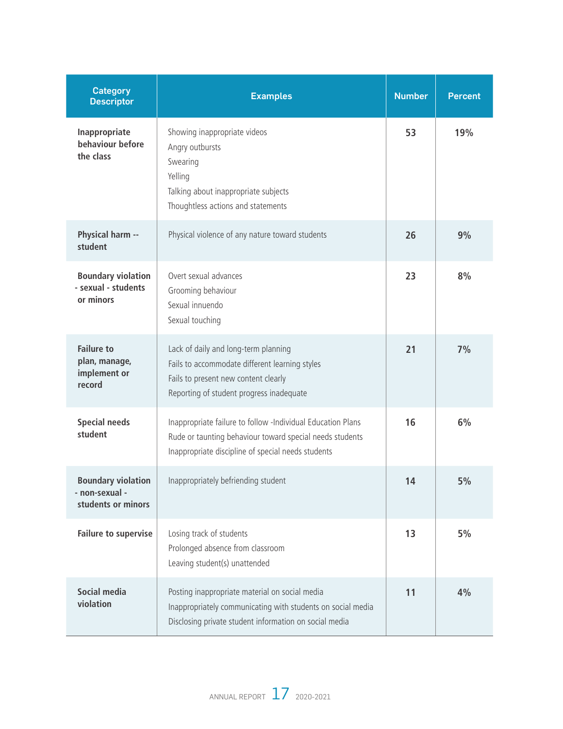| <b>Category</b><br><b>Descriptor</b>                              | <b>Examples</b>                                                                                                                                                               | <b>Number</b> | <b>Percent</b> |
|-------------------------------------------------------------------|-------------------------------------------------------------------------------------------------------------------------------------------------------------------------------|---------------|----------------|
| Inappropriate<br>behaviour before<br>the class                    | Showing inappropriate videos<br>Angry outbursts<br>Swearing<br>Yelling<br>Talking about inappropriate subjects<br>Thoughtless actions and statements                          | 53            | 19%            |
| Physical harm --<br>student                                       | Physical violence of any nature toward students                                                                                                                               | 26            | 9%             |
| <b>Boundary violation</b><br>- sexual - students<br>or minors     | Overt sexual advances<br>Grooming behaviour<br>Sexual innuendo<br>Sexual touching                                                                                             | 23            | 8%             |
| <b>Failure to</b><br>plan, manage,<br>implement or<br>record      | Lack of daily and long-term planning<br>Fails to accommodate different learning styles<br>Fails to present new content clearly<br>Reporting of student progress inadequate    | 21            | 7%             |
| <b>Special needs</b><br>student                                   | Inappropriate failure to follow -Individual Education Plans<br>Rude or taunting behaviour toward special needs students<br>Inappropriate discipline of special needs students | 16            | 6%             |
| <b>Boundary violation</b><br>- non-sexual -<br>students or minors | Inappropriately befriending student                                                                                                                                           | 14            | 5%             |
| <b>Failure to supervise</b>                                       | Losing track of students<br>Prolonged absence from classroom<br>Leaving student(s) unattended                                                                                 | 13            | 5%             |
| Social media<br>violation                                         | Posting inappropriate material on social media<br>Inappropriately communicating with students on social media<br>Disclosing private student information on social media       | 11            | 4%             |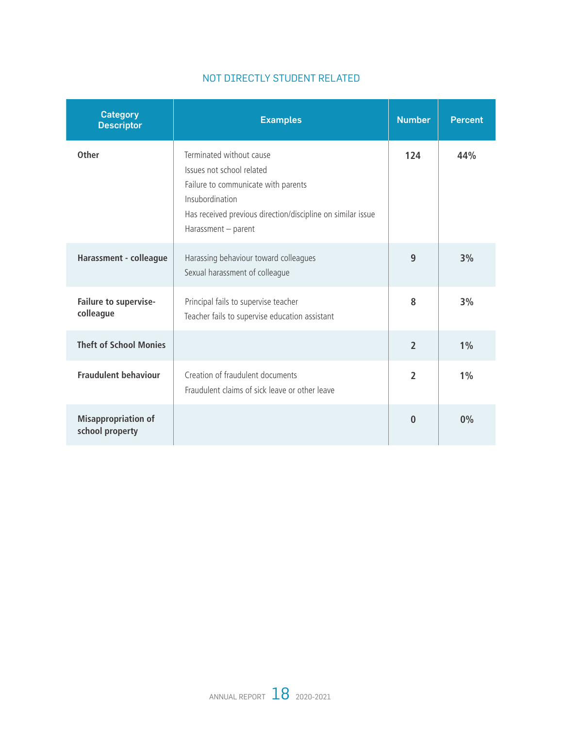| <b>Category</b><br><b>Descriptor</b>          | <b>Examples</b>                                                                                                                                                                                       | <b>Number</b>  | <b>Percent</b> |
|-----------------------------------------------|-------------------------------------------------------------------------------------------------------------------------------------------------------------------------------------------------------|----------------|----------------|
| <b>Other</b>                                  | Terminated without cause<br>Issues not school related<br>Failure to communicate with parents<br>Insubordination<br>Has received previous direction/discipline on similar issue<br>Harassment - parent | 124            | 44%            |
| Harassment - colleague                        | Harassing behaviour toward colleagues<br>Sexual harassment of colleague                                                                                                                               | 9              | 3%             |
| Failure to supervise-<br>colleague            | Principal fails to supervise teacher<br>Teacher fails to supervise education assistant                                                                                                                | 8              | 3%             |
| <b>Theft of School Monies</b>                 |                                                                                                                                                                                                       | $\overline{2}$ | $1\%$          |
| <b>Fraudulent behaviour</b>                   | Creation of fraudulent documents<br>Fraudulent claims of sick leave or other leave                                                                                                                    | $\overline{2}$ | $1\%$          |
| <b>Misappropriation of</b><br>school property |                                                                                                                                                                                                       | $\bf{0}$       | 0%             |

### NOT DIRECTLY STUDENT RELATED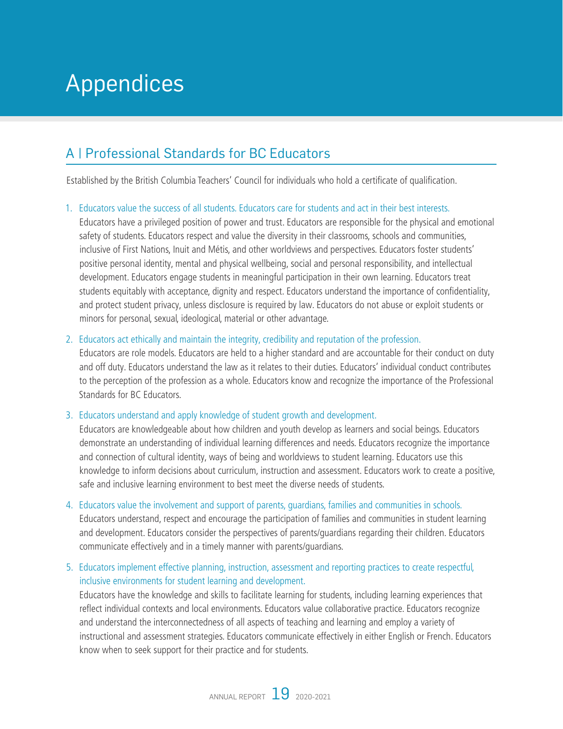## <span id="page-20-0"></span>Appendices

## A | Professional Standards for BC Educators

Established by the British Columbia Teachers' Council for individuals who hold a certificate of qualification.

#### 1. Educators value the success of all students. Educators care for students and act in their best interests.

Educators have a privileged position of power and trust. Educators are responsible for the physical and emotional safety of students. Educators respect and value the diversity in their classrooms, schools and communities, inclusive of First Nations, Inuit and Métis, and other worldviews and perspectives. Educators foster students' positive personal identity, mental and physical wellbeing, social and personal responsibility, and intellectual development. Educators engage students in meaningful participation in their own learning. Educators treat students equitably with acceptance, dignity and respect. Educators understand the importance of confidentiality, and protect student privacy, unless disclosure is required by law. Educators do not abuse or exploit students or minors for personal, sexual, ideological, material or other advantage.

#### 2. Educators act ethically and maintain the integrity, credibility and reputation of the profession.

Educators are role models. Educators are held to a higher standard and are accountable for their conduct on duty and off duty. Educators understand the law as it relates to their duties. Educators' individual conduct contributes to the perception of the profession as a whole. Educators know and recognize the importance of the Professional Standards for BC Educators.

#### 3. Educators understand and apply knowledge of student growth and development.

Educators are knowledgeable about how children and youth develop as learners and social beings. Educators demonstrate an understanding of individual learning differences and needs. Educators recognize the importance and connection of cultural identity, ways of being and worldviews to student learning. Educators use this knowledge to inform decisions about curriculum, instruction and assessment. Educators work to create a positive, safe and inclusive learning environment to best meet the diverse needs of students.

- 4. Educators value the involvement and support of parents, guardians, families and communities in schools. Educators understand, respect and encourage the participation of families and communities in student learning and development. Educators consider the perspectives of parents/guardians regarding their children. Educators communicate effectively and in a timely manner with parents/guardians.
- 5. Educators implement effective planning, instruction, assessment and reporting practices to create respectful, inclusive environments for student learning and development.

Educators have the knowledge and skills to facilitate learning for students, including learning experiences that reflect individual contexts and local environments. Educators value collaborative practice. Educators recognize and understand the interconnectedness of all aspects of teaching and learning and employ a variety of instructional and assessment strategies. Educators communicate effectively in either English or French. Educators know when to seek support for their practice and for students.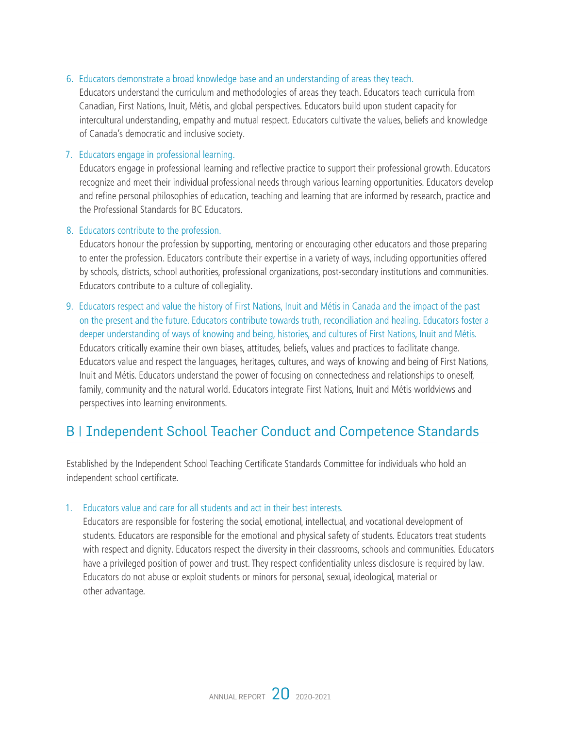#### <span id="page-21-0"></span>6. Educators demonstrate a broad knowledge base and an understanding of areas they teach.

Educators understand the curriculum and methodologies of areas they teach. Educators teach curricula from Canadian, First Nations, Inuit, Métis, and global perspectives. Educators build upon student capacity for intercultural understanding, empathy and mutual respect. Educators cultivate the values, beliefs and knowledge of Canada's democratic and inclusive society.

#### 7. Educators engage in professional learning.

Educators engage in professional learning and reflective practice to support their professional growth. Educators recognize and meet their individual professional needs through various learning opportunities. Educators develop and refine personal philosophies of education, teaching and learning that are informed by research, practice and the Professional Standards for BC Educators.

#### 8. Educators contribute to the profession.

Educators honour the profession by supporting, mentoring or encouraging other educators and those preparing to enter the profession. Educators contribute their expertise in a variety of ways, including opportunities offered by schools, districts, school authorities, professional organizations, post-secondary institutions and communities. Educators contribute to a culture of collegiality.

9. Educators respect and value the history of First Nations, Inuit and Métis in Canada and the impact of the past on the present and the future. Educators contribute towards truth, reconciliation and healing. Educators foster a deeper understanding of ways of knowing and being, histories, and cultures of First Nations, Inuit and Métis. Educators critically examine their own biases, attitudes, beliefs, values and practices to facilitate change. Educators value and respect the languages, heritages, cultures, and ways of knowing and being of First Nations, Inuit and Métis. Educators understand the power of focusing on connectedness and relationships to oneself, family, community and the natural world. Educators integrate First Nations, Inuit and Métis worldviews and perspectives into learning environments.

### B | Independent School Teacher Conduct and Competence Standards

Established by the Independent School Teaching Certificate Standards Committee for individuals who hold an independent school certificate.

#### 1. Educators value and care for all students and act in their best interests.

Educators are responsible for fostering the social, emotional, intellectual, and vocational development of students. Educators are responsible for the emotional and physical safety of students. Educators treat students with respect and dignity. Educators respect the diversity in their classrooms, schools and communities. Educators have a privileged position of power and trust. They respect confidentiality unless disclosure is required by law. Educators do not abuse or exploit students or minors for personal, sexual, ideological, material or other advantage.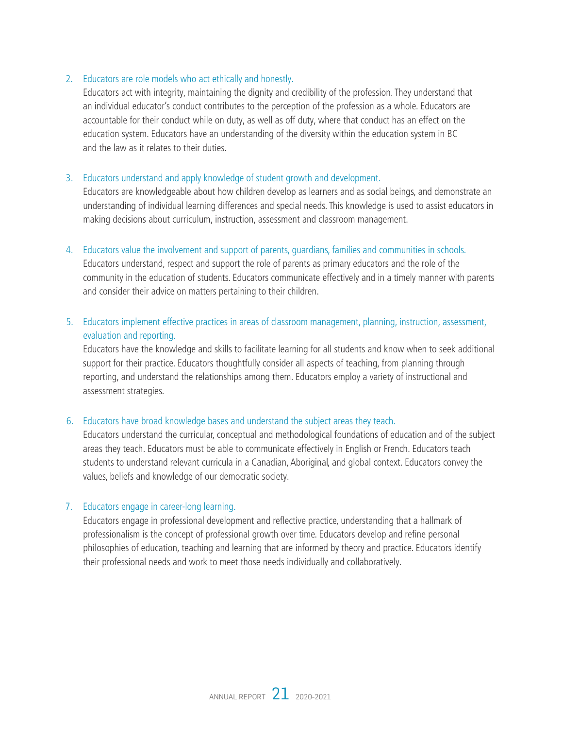#### 2. Educators are role models who act ethically and honestly.

Educators act with integrity, maintaining the dignity and credibility of the profession. They understand that an individual educator's conduct contributes to the perception of the profession as a whole. Educators are accountable for their conduct while on duty, as well as off duty, where that conduct has an effect on the education system. Educators have an understanding of the diversity within the education system in BC and the law as it relates to their duties.

#### 3. Educators understand and apply knowledge of student growth and development.

Educators are knowledgeable about how children develop as learners and as social beings, and demonstrate an understanding of individual learning differences and special needs. This knowledge is used to assist educators in making decisions about curriculum, instruction, assessment and classroom management.

#### 4. Educators value the involvement and support of parents, guardians, families and communities in schools.

Educators understand, respect and support the role of parents as primary educators and the role of the community in the education of students. Educators communicate effectively and in a timely manner with parents and consider their advice on matters pertaining to their children.

#### 5. Educators implement effective practices in areas of classroom management, planning, instruction, assessment, evaluation and reporting.

Educators have the knowledge and skills to facilitate learning for all students and know when to seek additional support for their practice. Educators thoughtfully consider all aspects of teaching, from planning through reporting, and understand the relationships among them. Educators employ a variety of instructional and assessment strategies.

#### 6. Educators have broad knowledge bases and understand the subject areas they teach.

Educators understand the curricular, conceptual and methodological foundations of education and of the subject areas they teach. Educators must be able to communicate effectively in English or French. Educators teach students to understand relevant curricula in a Canadian, Aboriginal, and global context. Educators convey the values, beliefs and knowledge of our democratic society.

#### 7. Educators engage in career-long learning.

Educators engage in professional development and reflective practice, understanding that a hallmark of professionalism is the concept of professional growth over time. Educators develop and refine personal philosophies of education, teaching and learning that are informed by theory and practice. Educators identify their professional needs and work to meet those needs individually and collaboratively.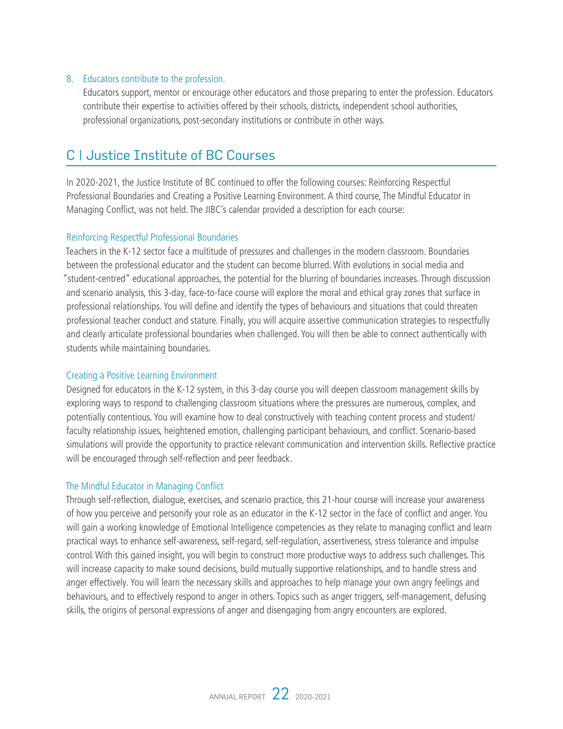#### <span id="page-23-0"></span>8. Educators contribute to the profession.

Educators support, mentor or encourage other educators and those preparing to enter the profession. Educators contribute their expertise to activities offered by their schools, districts, independent school authorities, professional organizations, post-secondary institutions or contribute in other ways.

### C | Justice Institute of BC Courses

In 2020-2021, the Justice Institute of BC continued to offer the following courses: Reinforcing Respectful Professional Boundaries and Creating a Positive Learning Environment. A third course, The Mindful Educator in Managing Conflict, was not held. The JIBC's calendar provided a description for each course:

#### Reinforcing Respectful Professional Boundaries

Teachers in the K-12 sector face a multitude of pressures and challenges in the modern classroom. Boundaries between the professional educator and the student can become blurred. With evolutions in social media and "student-centred" educational approaches, the potential for the blurring of boundaries increases. Through discussion and scenario analysis, this 3-day, face-to-face course will explore the moral and ethical gray zones that surface in professional relationships. You will define and identify the types of behaviours and situations that could threaten professional teacher conduct and stature. Finally, you will acquire assertive communication strategies to respectfully and clearly articulate professional boundaries when challenged. You will then be able to connect authentically with students while maintaining boundaries.

#### Creating a Positive Learning Environment

Designed for educators in the K-12 system, in this 3-day course you will deepen classroom management skills by exploring ways to respond to challenging classroom situations where the pressures are numerous, complex, and potentially contentious. You will examine how to deal constructively with teaching content process and student/ faculty relationship issues, heightened emotion, challenging participant behaviours, and conflict. Scenario-based simulations will provide the opportunity to practice relevant communication and intervention skills. Reflective practice will be encouraged through self-reflection and peer feedback.

#### The Mindful Educator in Managing Conflict

Through self-reflection, dialogue, exercises, and scenario practice, this 21-hour course will increase your awareness of how you perceive and personify your role as an educator in the K-12 sector in the face of conflict and anger. You will gain a working knowledge of Emotional Intelligence competencies as they relate to managing conflict and learn practical ways to enhance self-awareness, self-regard, self-regulation, assertiveness, stress tolerance and impulse control. With this gained insight, you will begin to construct more productive ways to address such challenges. This will increase capacity to make sound decisions, build mutually supportive relationships, and to handle stress and anger effectively. You will learn the necessary skills and approaches to help manage your own angry feelings and behaviours, and to effectively respond to anger in others. Topics such as anger triggers, self-management, defusing skills, the origins of personal expressions of anger and disengaging from angry encounters are explored.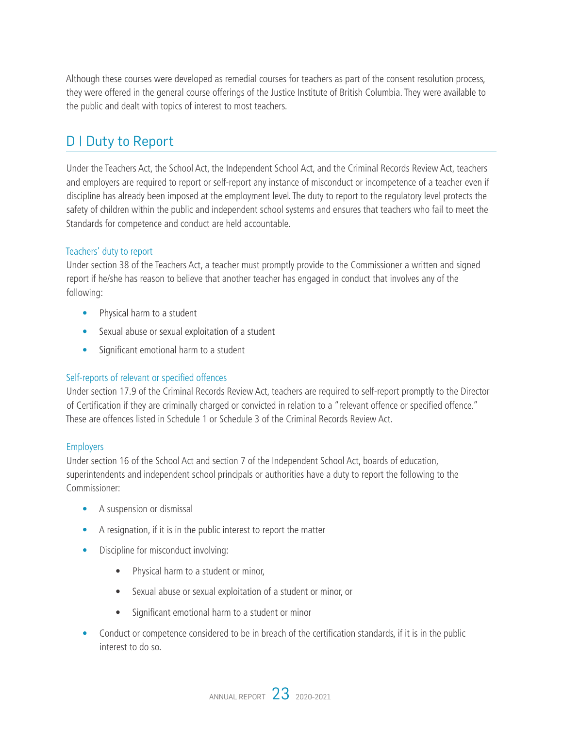<span id="page-24-0"></span>Although these courses were developed as remedial courses for teachers as part of the consent resolution process, they were offered in the general course offerings of the Justice Institute of British Columbia. They were available to the public and dealt with topics of interest to most teachers.

## D | Duty to Report

Under the Teachers Act, the School Act, the Independent School Act, and the Criminal Records Review Act, teachers and employers are required to report or self-report any instance of misconduct or incompetence of a teacher even if discipline has already been imposed at the employment level. The duty to report to the regulatory level protects the safety of children within the public and independent school systems and ensures that teachers who fail to meet the Standards for competence and conduct are held accountable.

#### Teachers' duty to report

Under section 38 of the Teachers Act, a teacher must promptly provide to the Commissioner a written and signed report if he/she has reason to believe that another teacher has engaged in conduct that involves any of the following:

- Physical harm to a student
- Sexual abuse or sexual exploitation of a student
- Significant emotional harm to a student

#### Self-reports of relevant or specified offences

Under section 17.9 of the Criminal Records Review Act, teachers are required to self-report promptly to the Director of Certification if they are criminally charged or convicted in relation to a "relevant offence or specified offence." These are offences listed in Schedule 1 or Schedule 3 of the Criminal Records Review Act.

#### **Employers**

Under section 16 of the School Act and section 7 of the Independent School Act, boards of education, superintendents and independent school principals or authorities have a duty to report the following to the Commissioner:

- A suspension or dismissal
- A resignation, if it is in the public interest to report the matter
- Discipline for misconduct involving:
	- Physical harm to a student or minor,
	- Sexual abuse or sexual exploitation of a student or minor, or
	- Significant emotional harm to a student or minor
- Conduct or competence considered to be in breach of the certification standards, if it is in the public interest to do so.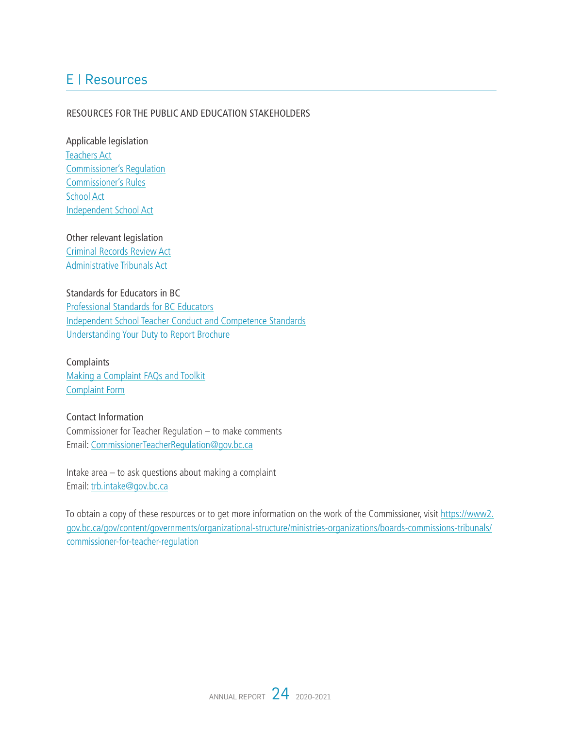## <span id="page-25-0"></span>E | Resources

#### RESOURCES FOR THE PUBLIC AND EDUCATION STAKEHOLDERS

Applicable legislation [Teachers Act](http://www.bclaws.ca/EPLibraries/bclaws_new/document/ID/freeside/00_11019_01) [Commissioner's Regulation](http://www.bced.gov.bc.ca/legislation/schoollaw/f.htm) [Commissioner's Rules](https://www2.gov.bc.ca/assets/gov/british-columbians-our-governments/organizational-structure/boards-commissions-tribunals/bc-commissioner-for-teacher-regulation/commissioner_rules.pdf) [School Act](http://www2.gov.bc.ca/assets/gov/education/administration/legislation-policy/legislation/schoollaw/revisedstatutescontents.pdf) [Independent School Act](http://www2.gov.bc.ca/assets/gov/education/administration/legislation-policy/legislation/schoollaw/independent_school_act_contents.pdf)

Other relevant legislation [Criminal Records Review Act](http://www.bclaws.ca/Recon/document/ID/freeside/00_96086_01) [Administrative Tribunals Act](http://www.bclaws.ca/civix/document/id/complete/statreg/04045_01)

Standards for Educators in BC [Professional Standards for BC Educators](https://www2.gov.bc.ca/assets/gov/education/kindergarten-to-grade-12/teach/teacher-regulation/standards-for-educators/edu_standards.pdf) [Independent School Teacher Conduct and Competence Standards](https://www2.gov.bc.ca/assets/gov/education/kindergarten-to-grade-12/teach/teacher-regulation/standards-for-educators/edu_standards_is.pdf) [Understanding Your Duty to Report Brochure](https://www2.gov.bc.ca/assets/gov/education/kindergarten-to-grade-12/teach/teacher-regulation/standards-for-educators/duty_to_report.pdf)

**Complaints** [Making a Complaint FAQs and Toolkit](https://www2.gov.bc.ca/assets/gov/education/kindergarten-to-grade-12/teach/teacher-regulation/standards-for-educators/complaint_faq_tools.pdf) [Complaint Form](https://www2.gov.bc.ca/assets/gov/education/kindergarten-to-grade-12/teach/teacher-regulation/standards-for-educators/complaint_form.pdf)

Contact Information Commissioner for Teacher Regulation – to make comments Email: [CommissionerTeacherRegulation@gov.bc.ca](mailto:CommissionerTeacherRegulation%40gov.bc.ca?subject=)

Intake area – to ask questions about making a complaint Email: [trb.intake@gov.bc.ca](mailto:trb.intake%40gov.bc.ca?subject=)

To obtain a copy of these resources or to get more information on the work of the Commissioner, visit [https://www2.](https://www2.gov.bc.ca/gov/content?id=664A4DD8A21D4D8DB14A064A58C5AEEE ) [gov.bc.ca/gov/content/governments/organizational-structure/ministries-organizations/boards-commissions-tribunals/](https://www2.gov.bc.ca/gov/content?id=664A4DD8A21D4D8DB14A064A58C5AEEE ) [commissioner-for-teacher-regulation](https://www2.gov.bc.ca/gov/content?id=664A4DD8A21D4D8DB14A064A58C5AEEE )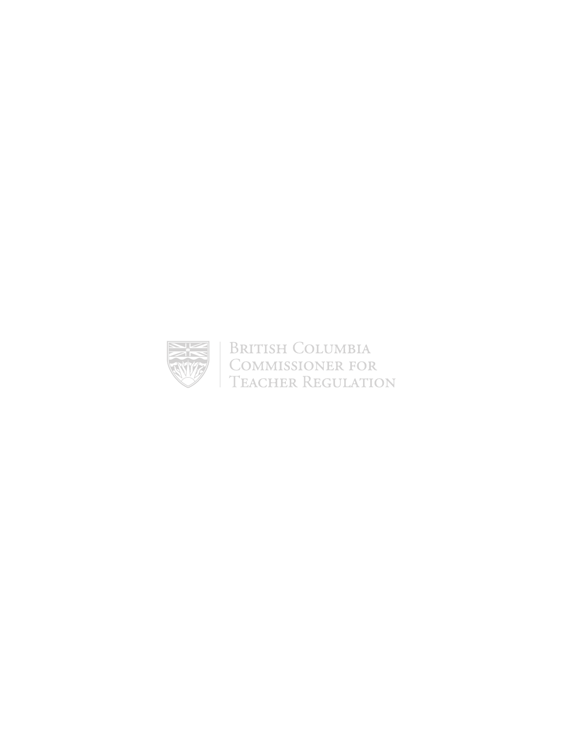